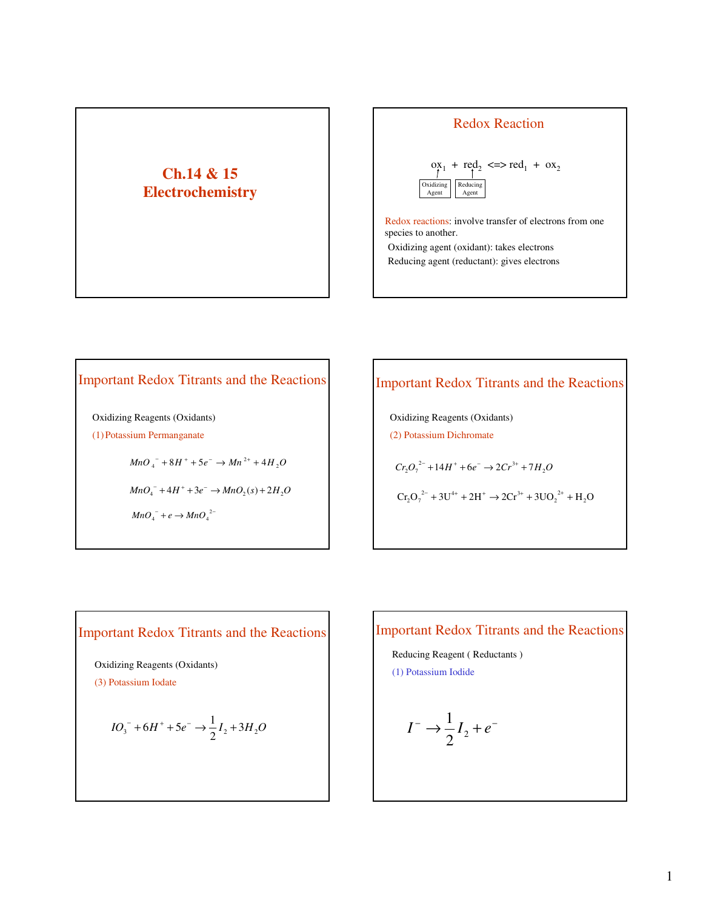# **Ch.14 & 15 Electrochemistry**



Redox Reaction

Redox reactions: involve transfer of electrons from one species to another. Oxidizing agent (oxidant): takes electrons

Reducing agent (reductant): gives electrons

# Important Redox Titrants and the Reactions

Oxidizing Reagents (Oxidants) (1) Potassium Permanganate

 $MnO_4^- + 8H^+ + 5e^- \rightarrow Mn^{2+} + 4H_2O$ 

 $MnO_4^- + 4H^+ + 3e^- \rightarrow MnO_2(s) + 2H_2O$ 

 $MnO_4^- + e \rightarrow MnO_4^{2-}$ 

# Important Redox Titrants and the Reactions

Oxidizing Reagents (Oxidants) (2) Potassium Dichromate

 $Cr_2O_7^{2-} + 14H^+ + 6e^- \rightarrow 2Cr^{3+} + 7H_2O$ 

 $\text{Cr}_2\text{O}_7^{2-} + 3\text{U}^{4+} + 2\text{H}^+ \rightarrow 2\text{Cr}^{3+} + 3\text{UO}_2^{2+} + \text{H}_2\text{O}$ 

Oxidizing Reagents (Oxidants)

(3) Potassium Iodate

$$
IO_3^- + 6H^+ + 5e^- \rightarrow \frac{1}{2}I_2 + 3H_2O
$$

# Important Redox Titrants and the Reactions Important Redox Titrants and the Reactions

Reducing Reagent ( Reductants ) (1) Potassium Iodide

$$
I^- \to \frac{1}{2}I_2 + e^-
$$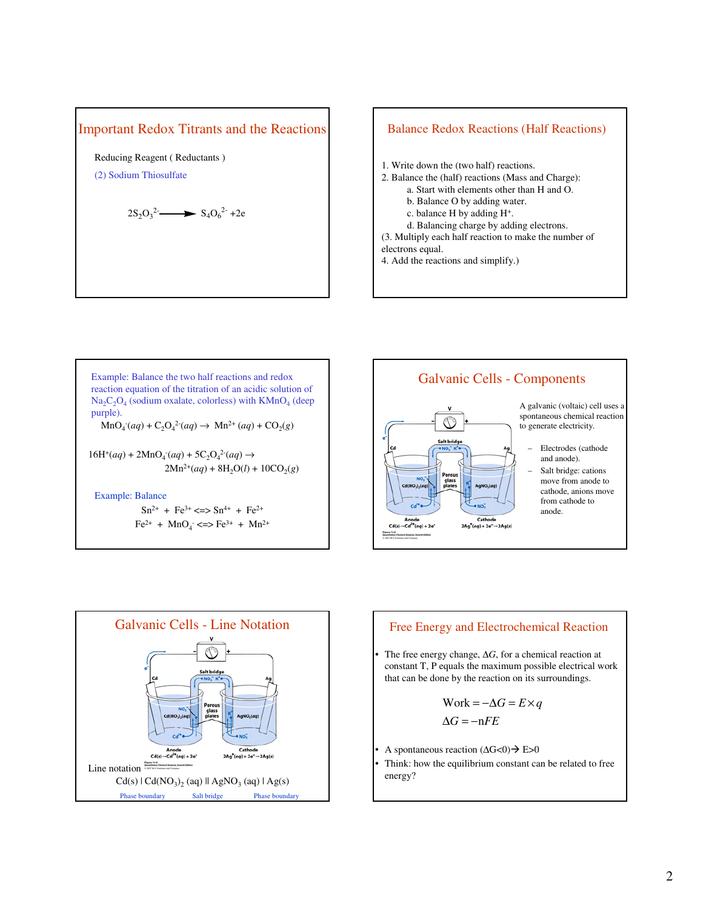

Reducing Reagent ( Reductants )

(2) Sodium Thiosulfate

$$
2S_2O_3^2 \longrightarrow S_4O_6^{2} + 2e
$$

## 1. Write down the (two half) reactions. 2. Balance the (half) reactions (Mass and Charge): a. Start with elements other than H and O. b. Balance O by adding water. c. balance H by adding H<sup>+</sup> . d. Balancing charge by adding electrons. Balance Redox Reactions (Half Reactions)

(3. Multiply each half reaction to make the number of electrons equal.

4. Add the reactions and simplify.)



#### Example: Balance

 $Sn^{2+}$  + Fe<sup>3+</sup> <=>  $Sn^{4+}$  + Fe<sup>2+</sup>  $Fe^{2+}$  + MnO<sub>4</sub> <=>  $Fe^{3+}$  + Mn<sup>2+</sup>







$$
Work = -\Delta G = E \times q
$$

$$
\Delta G = -nFE
$$

- A spontaneous reaction (∆G<0) E>0
- Think: how the equilibrium constant can be related to free energy?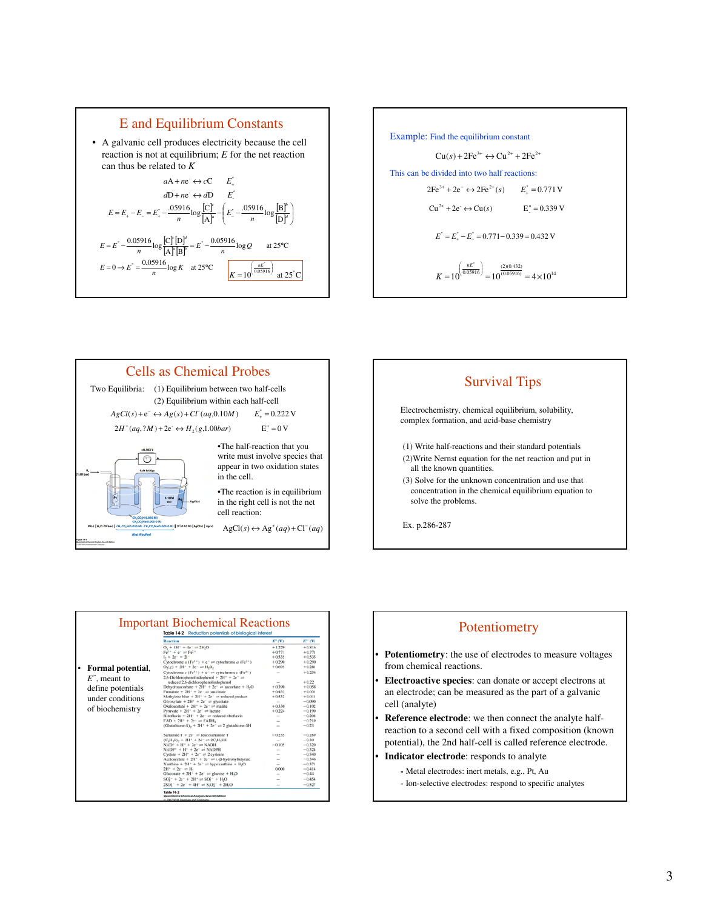







|                                                                         | <b>Reaction</b>                                                                          | $E^*(V)$                 | $E^{cc}$ (V) |
|-------------------------------------------------------------------------|------------------------------------------------------------------------------------------|--------------------------|--------------|
|                                                                         | $O_2 + 4H^+ + 4e^- = 2H_2O$                                                              | $+1.229$                 | $+0.816$     |
|                                                                         | $Fe^{3+} + e^{-} = Fe^{2+}$                                                              | $+0.771$                 | $+0.771$     |
|                                                                         | $1. + 2e^- = 21^-$                                                                       | $+0.535$                 | $+0.535$     |
|                                                                         | Cytochrome $a$ (Fe <sup>3+</sup> ) + e <sup>-</sup> = eytochrome $a$ (Fe <sup>2+</sup> ) | $+0.290$                 | $+0.290$     |
| Formal potential,<br>$E^{\prime\prime}$ , meant to<br>define potentials | $O_2(g) + 2H^+ + 2e^- \rightleftharpoons H_2O_2$                                         | $+0.695$                 | $+0.281$     |
|                                                                         | Cytochrome $c$ (Fe <sup>3+</sup> ) + $e^-$ = cytochrome $c$ (Fe <sup>2+</sup> )          | $\overline{\phantom{a}}$ | $+0.254$     |
|                                                                         | 2,6-Dichlorophenolindophenol + $2H^+ + 2e^- =$                                           |                          |              |
|                                                                         | reduced 2.6-dichlorophenolindophenol                                                     |                          | $+0.22$      |
|                                                                         | Dehydroascorbate + $2H^+ + 2e^- =$ ascorbate + H-O                                       | $+0.390$                 | $+0.058$     |
|                                                                         | Fumarate + $2H^+$ + $2e^-$ = succinate                                                   | $+0.433$                 | $+0.011$     |
| under conditions<br>of biochemistry                                     | Methylene blue + $2H^+ + 2e^-$ = reduced product                                         | $+0.532$                 | $+0.011$     |
|                                                                         | Glyoxylate + $2H^{+}$ + $2e^{-}$ on glycolate                                            | $\sim$                   | $-0.090$     |
|                                                                         | Oxaloacetate + $2H^+ + 2e^-$ = malate                                                    | $+0.330$                 | $-0.102$     |
|                                                                         | Pyruvate + $2H^+$ + $2e^-$ = lactate                                                     | $+0.224$                 | $-0.190$     |
|                                                                         | Riboflavin + $2H^+$ + $2e^-$ = reduced riboflavin                                        | $\overline{\phantom{a}}$ | $-0.208$     |
|                                                                         | $FAD + 2H^+ + 2e^-$ on $FADH$ ,                                                          | $\sim$                   | $-0.219$     |
|                                                                         | (Glutathione-S), + $2H^+ + 2e^- = 2$ glutathione-SH                                      | $\sim$                   | $-0.23$      |
|                                                                         | Safranine T + $2e^-$ on leucosafranine T                                                 | $-0.235$                 | $-0.289$     |
|                                                                         | $(C_eH_1S_1)$ , + 2H <sup>+</sup> + 2e <sup>-</sup> = 2C <sub>e</sub> H <sub>2</sub> SH  | $\overline{\phantom{a}}$ | $-0.30$      |
|                                                                         | $NAD^+ + H^+ + 2e^- \rightleftharpoons NADH$                                             | $-0.105$                 | $-0.320$     |
|                                                                         | $NADP^+ + H^+ + 2e^- \rightleftharpoons NADPH$                                           | -                        | $-0.324$     |
|                                                                         | Cystine + $2H^+$ + $2e^-$ on 2 cysteine                                                  |                          | $-0.340$     |
|                                                                         | Acetoacetate + $2H^+$ + $2e^-$ = 1.8-hydroxybutyrate                                     | $\sim$                   | $-0.346$     |
|                                                                         | Xanthine + $2H^+ + 2e^-$ = hypoxanthine + H <sub>2</sub> O                               |                          | $-0.371$     |
|                                                                         | $2H^+ + 2e^- = H_2$                                                                      | 0.000                    | $-0.414$     |
|                                                                         | Gluconate + $2H^+$ + $2e^-$ an glucose + $H_2O$                                          |                          | $-0.44$      |
|                                                                         | $SO_1^2^- + 2e^- + 2H^+ = SO_1^2^- + H_2O$                                               |                          | $-0.454$     |
|                                                                         | $2SO_1^2$ + $2e^-$ + $4H^+$ = $S_2O_1^2$ + $2H_2O$                                       |                          | $-0.527$     |

## Potentiometry

- **Potentiometry**: the use of electrodes to measure voltages from chemical reactions.
- **Electroactive species**: can donate or accept electrons at an electrode; can be measured as the part of a galvanic cell (analyte)
- **Reference electrode**: we then connect the analyte halfreaction to a second cell with a fixed composition (known potential), the 2nd half-cell is called reference electrode.
- **Indicator electrode**: responds to analyte
	- **-** Metal electrodes: inert metals, e.g., Pt, Au
		- Ion-selective electrodes: respond to specific analytes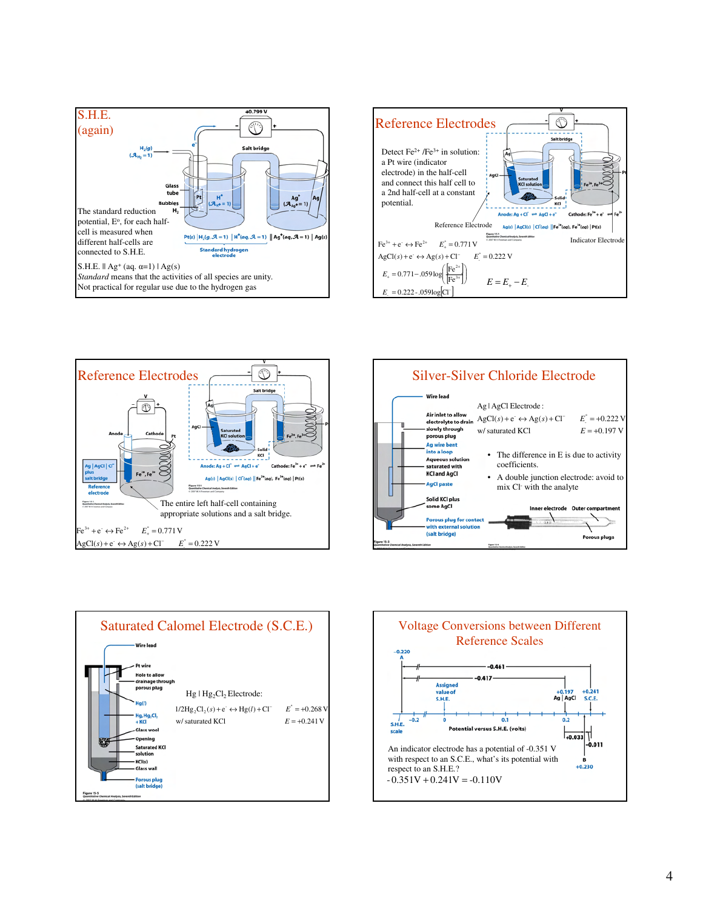









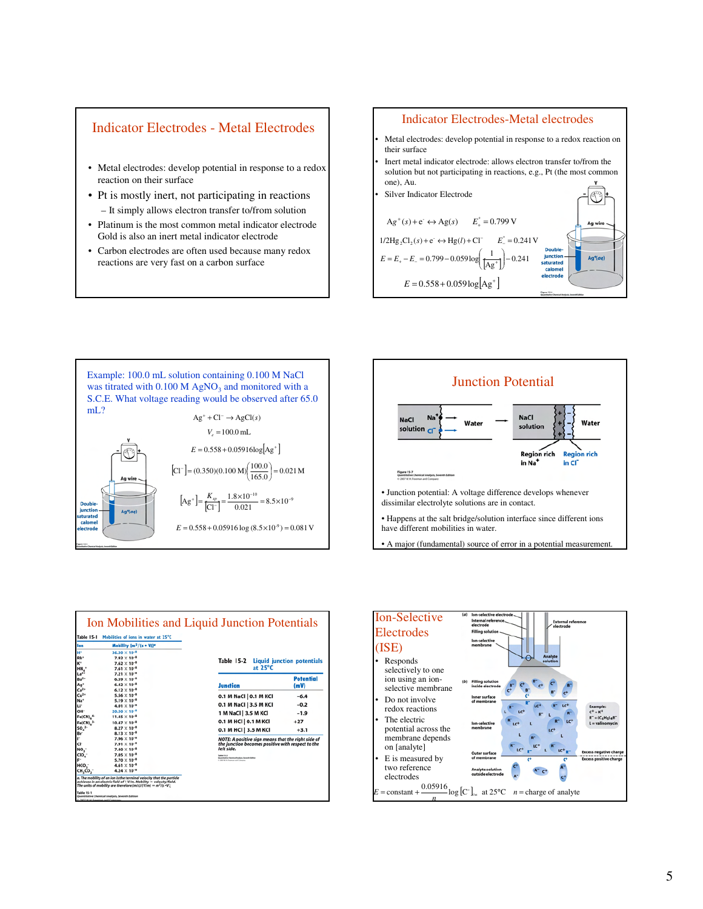## Indicator Electrodes - Metal Electrodes

- Metal electrodes: develop potential in response to a redox reaction on their surface
- Pt is mostly inert, not participating in reactions – It simply allows electron transfer to/from solution
- Platinum is the most common metal indicator electrode Gold is also an inert metal indicator electrode
- Carbon electrodes are often used because many redox reactions are very fast on a carbon surface

#### Indicator Electrodes-Metal electrodes

- Metal electrodes: develop potential in response to a redox reaction on their surface
- Inert metal indicator electrode: allows electron transfer to/from the solution but not participating in reactions, e.g., Pt (the most common one), Au.









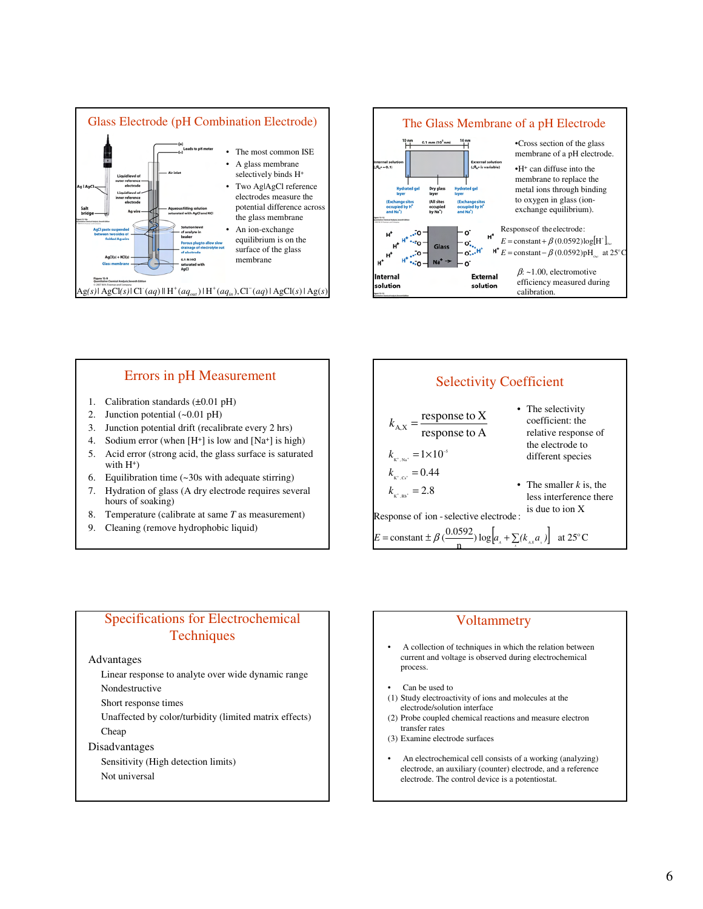



#### Errors in pH Measurement

- 1. Calibration standards (±0.01 pH)
- 2. Junction potential (~0.01 pH)
- 3. Junction potential drift (recalibrate every 2 hrs)
- 4. Sodium error (when  $[H^+]$  is low and  $[Na^+]$  is high)
- 5. Acid error (strong acid, the glass surface is saturated with  $H^+$ )
- 6. Equilibration time (~30s with adequate stirring)
- 7. Hydration of glass (A dry electrode requires several hours of soaking)
- 8. Temperature (calibrate at same *T* as measurement)
- 9. Cleaning (remove hydrophobic liquid)

#### Selectivity Coefficient

| $\frac{1}{\text{response to A}}$<br>$k_{A,X}$ =<br>relative response of<br>the electrode to<br>$k_{\scriptscriptstyle{\textrm{K}^+,\textrm{Na}^+}}$ =1×10 <sup>-5</sup><br>different species         |  |
|------------------------------------------------------------------------------------------------------------------------------------------------------------------------------------------------------|--|
|                                                                                                                                                                                                      |  |
|                                                                                                                                                                                                      |  |
| $k_{\scriptscriptstyle\rm{K}^+,\rm{Cs}^+} = 0.44$<br>• The smaller $k$ is, the<br>$k_{\rm K^+,Rb^+} = 2.8$<br>less interference there<br>is due to ion $X$<br>Response of ion - selective electrode: |  |
| $E = \text{constant} \pm \beta \left( \frac{0.0592}{\text{log} \left[ a_{\text{A}} + \sum (k_{\text{A}x} a_x \right] \right]} \text{ at } 25^{\circ} \text{C}$                                       |  |

## Specifications for Electrochemical **Techniques**

#### Advantages

Linear response to analyte over wide dynamic range

Nondestructive

Short response times

Unaffected by color/turbidity (limited matrix effects) Cheap

Disadvantages

Sensitivity (High detection limits) Not universal

## **Voltammetry**

- A collection of techniques in which the relation between current and voltage is observed during electrochemical process.
- Can be used to
- (1) Study electroactivity of ions and molecules at the electrode/solution interface
- (2) Probe coupled chemical reactions and measure electron transfer rates
- (3) Examine electrode surfaces
- An electrochemical cell consists of a working (analyzing) electrode, an auxiliary (counter) electrode, and a reference electrode. The control device is a potentiostat.